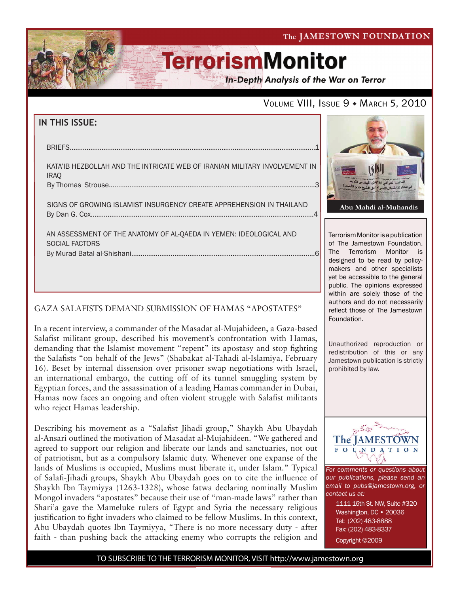The JAMESTOWN FOUNDATION

# **TerrorismMonitor**

**In-Depth Analysis of the War on Terror** 

### VOLUME VIII, ISSUE 9 . MARCH 5, 2010

| IN THIS ISSUE:                                                                            |
|-------------------------------------------------------------------------------------------|
| <b>BRIEFS</b>                                                                             |
| KATA'IB HEZBOLLAH AND THE INTRICATE WEB OF IRANIAN MILITARY INVOLVEMENT IN<br><b>IRAO</b> |
| SIGNS OF GROWING ISLAMIST INSURGENCY CREATE APPREHENSION IN THAILAND                      |
| AN ASSESSMENT OF THE ANATOMY OF AL-QAEDA IN YEMEN: IDEOLOGICAL AND<br>SOCIAL FACTORS      |

### GAZA SALAFISTS DEMAND SUBMISSION OF HAMAS "APOSTATES"

f

In a recent interview, a commander of the Masadat al-Mujahideen, a Gaza-based Salafist militant group, described his movement's confrontation with Hamas, demanding that the Islamist movement "repent" its apostasy and stop fighting the Salafists "on behalf of the Jews" (Shabakat al-Tahadi al-Islamiya, February 16). Beset by internal dissension over prisoner swap negotiations with Israel, an international embargo, the cutting off of its tunnel smuggling system by Egyptian forces, and the assassination of a leading Hamas commander in Dubai, Hamas now faces an ongoing and often violent struggle with Salafist militants who reject Hamas leadership.

Describing his movement as a "Salafist Jihadi group," Shaykh Abu Ubaydah al-Ansari outlined the motivation of Masadat al-Mujahideen. "We gathered and agreed to support our religion and liberate our lands and sanctuaries, not out of patriotism, but as a compulsory Islamic duty. Whenever one expanse of the lands of Muslims is occupied, Muslims must liberate it, under Islam." Typical of Salafi-Jihadi groups, Shaykh Abu Ubaydah goes on to cite the influence of Shaykh Ibn Taymiyya (1263-1328), whose fatwa declaring nominally Muslim Mongol invaders "apostates" because their use of "man-made laws" rather than Shari'a gave the Mameluke rulers of Egypt and Syria the necessary religious justification to fight invaders who claimed to be fellow Muslims. In this context, Abu Ubaydah quotes Ibn Taymiyya, "There is no more necessary duty - after faith - than pushing back the attacking enemy who corrupts the religion and



Terrorism Monitor is a publication of The Jamestown Foundation. The Terrorism Monitor is designed to be read by policymakers and other specialists yet be accessible to the general public. The opinions expressed within are solely those of the authors and do not necessarily reflect those of The Jamestown Foundation.

Unauthorized reproduction or redistribution of this or any Jamestown publication is strictly prohibited by law.



*For comments or questions about our publications, please send an email to pubs@jamestown.org, or contact us at:* 

> 1111 16th St. NW, Suite #320 Washington, DC · 20036 Tel: (202) 483-8888 Fax: (202) 483-8337 Copyright ©2009

TO SUBSCRIBE TO THE TERRORISM MONITOR, VISIT http://www.jamestown.org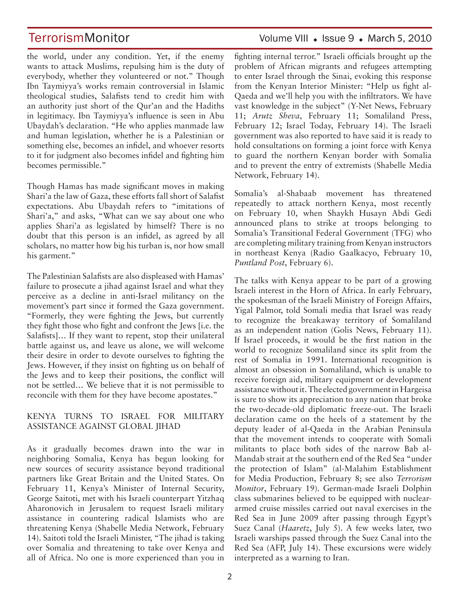the world, under any condition. Yet, if the enemy wants to attack Muslims, repulsing him is the duty of everybody, whether they volunteered or not." Though Ibn Taymiyya's works remain controversial in Islamic theological studies, Salafists tend to credit him with an authority just short of the Qur'an and the Hadiths in legitimacy. Ibn Taymiyya's influence is seen in Abu Ubaydah's declaration. "He who applies manmade law and human legislation, whether he is a Palestinian or something else, becomes an infidel, and whoever resorts to it for judgment also becomes infidel and fighting him becomes permissible."

Though Hamas has made significant moves in making Shari'a the law of Gaza, these efforts fall short of Salafist expectations. Abu Ubaydah refers to "imitations of Shari'a," and asks, "What can we say about one who applies Shari'a as legislated by himself? There is no doubt that this person is an infidel, as agreed by all scholars, no matter how big his turban is, nor how small his garment."

The Palestinian Salafists are also displeased with Hamas' failure to prosecute a jihad against Israel and what they perceive as a decline in anti-Israel militancy on the movement's part since it formed the Gaza government. "Formerly, they were fighting the Jews, but currently they fight those who fight and confront the Jews [i.e. the Salafists]... If they want to repent, stop their unilateral battle against us, and leave us alone, we will welcome their desire in order to devote ourselves to fighting the Jews. However, if they insist on fighting us on behalf of the Jews and to keep their positions, the conflict will not be settled... We believe that it is not permissible to reconcile with them for they have become apostates."

#### KENYA TURNS TO ISRAEL FOR MILITARY ASSISTANCE AGAINST GLOBAL JIHAD

As it gradually becomes drawn into the war in neighboring Somalia, Kenya has begun looking for new sources of security assistance beyond traditional partners like Great Britain and the United States. On February 11, Kenya's Minister of Internal Security, George Saitoti, met with his Israeli counterpart Yitzhaq Aharonovich in Jerusalem to request Israeli military assistance in countering radical Islamists who are threatening Kenya (Shabelle Media Network, February 14). Saitoti told the Israeli Minister, "The jihad is taking over Somalia and threatening to take over Kenya and all of Africa. No one is more experienced than you in

### TerrorismMonitor Volume VIII • Issue 9 • March 5, 2010

fighting internal terror." Israeli officials brought up the problem of African migrants and refugees attempting to enter Israel through the Sinai, evoking this response from the Kenyan Interior Minister: "Help us fight al-Qaeda and we'll help you with the infiltrators. We have vast knowledge in the subject" (Y-Net News, February 11; *Arutz Sheva*, February 11; Somaliland Press, February 12; Israel Today, February 14). The Israeli government was also reported to have said it is ready to hold consultations on forming a joint force with Kenya to guard the northern Kenyan border with Somalia and to prevent the entry of extremists (Shabelle Media) Network, February 14).

Somalia's al-Shabaab movement has threatened repeatedly to attack northern Kenya, most recently on February 10, when Shaykh Husayn Abdi Gedi announced plans to strike at troops belonging to Somalia's Transitional Federal Government (TFG) who are completing military training from Kenyan instructors in northeast Kenya (Radio Gaalkacyo, February 10, *Puntland Post*, February 6).

The talks with Kenya appear to be part of a growing Israeli interest in the Horn of Africa. In early February, the spokesman of the Israeli Ministry of Foreign Affairs, Yigal Palmor, told Somali media that Israel was ready to recognize the breakaway territory of Somaliland as an independent nation (Golis News, February 11). If Israel proceeds, it would be the first nation in the world to recognize Somaliland since its split from the rest of Somalia in 1991. International recognition is almost an obsession in Somaliland, which is unable to receive foreign aid, military equipment or development assistance without it. The elected government in Hargeisa is sure to show its appreciation to any nation that broke the two-decade-old diplomatic freeze-out. The Israeli declaration came on the heels of a statement by the deputy leader of al-Qaeda in the Arabian Peninsula that the movement intends to cooperate with Somali militants to place both sides of the narrow Bab al-Mandab strait at the southern end of the Red Sea "under the protection of Islam" (al-Malahim Establishment for Media Production, February 8; see also Terrorism *Monitor*, February 19). German-made Israeli Dolphin class submarines believed to be equipped with nucleararmed cruise missiles carried out naval exercises in the Red Sea in June 2009 after passing through Egypt's Suez Canal (Haaretz, July 5). A few weeks later, two Israeli warships passed through the Suez Canal into the Red Sea (AFP, July 14). These excursions were widely interpreted as a warning to Iran.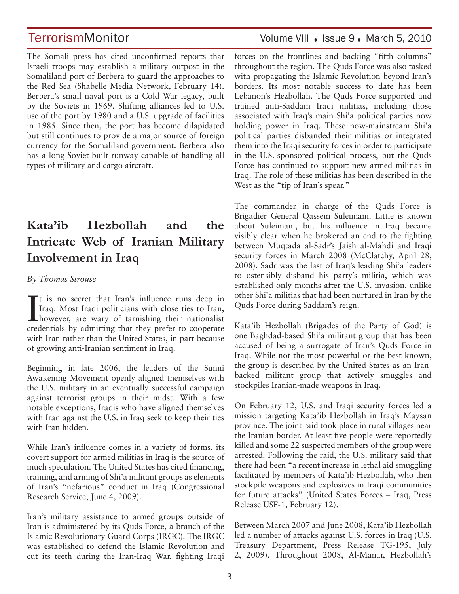The Somali press has cited unconfirmed reports that Israeli troops may establish a military outpost in the Somaliland port of Berbera to guard the approaches to the Red Sea (Shabelle Media Network, February 14). Berbera's small naval port is a Cold War legacy, built by the Soviets in 1969. Shifting alliances led to U.S. use of the port by 1980 and a U.S. upgrade of facilities in 1985. Since then, the port has become dilapidated but still continues to provide a major source of foreign currency for the Somaliland government. Berbera also has a long Soviet-built runway capable of handling all types of military and cargo aircraft.

## **Kata'ib Hezbollah and the Intricate Web of Iranian Military Involvement in Iraq**

#### *By Thomas Strouse*

It is no secret that Iran's influence runs deep in<br>Iraq. Most Iraqi politicians with close ties to Iran,<br>however, are wary of tarnishing their nationalist  $\blacktriangleright$  t is no secret that Iran's influence runs deep in Iraq. Most Iraqi politicians with close ties to Iran, credentials by admitting that they prefer to cooperate with Iran rather than the United States, in part because of growing anti-Iranian sentiment in Iraq.

Beginning in late  $2006$ , the leaders of the Sunni Awakening Movement openly aligned themselves with the U.S. military in an eventually successful campaign against terrorist groups in their midst. With a few notable exceptions, Iraqis who have aligned themselves with Iran against the U.S. in Iraq seek to keep their ties with Iran hidden.

While Iran's influence comes in a variety of forms, its covert support for armed militias in Iraq is the source of much speculation. The United States has cited financing, training, and arming of Shi'a militant groups as elements of Iran's "nefarious" conduct in Iraq (Congressional Research Service, June 4, 2009).

Iran's military assistance to armed groups outside of Iran is administered by its Quds Force, a branch of the Islamic Revolutionary Guard Corps (IRGC). The IRGC was established to defend the Islamic Revolution and cut its teeth during the Iran-Iraq War, fighting Iraqi

## TerrorismMonitor Volume VIII . Issue 9. March 5, 2010

forces on the frontlines and backing "fifth columns" throughout the region. The Quds Force was also tasked with propagating the Islamic Revolution beyond Iran's borders. Its most notable success to date has been Lebanon's Hezbollah. The Quds Force supported and trained anti-Saddam Iraqi militias, including those associated with Iraq's main Shi'a political parties now holding power in Iraq. These now-mainstream Shi'a political parties disbanded their militias or integrated them into the Iraqi security forces in order to participate in the U.S.-sponsored political process, but the Quds Force has continued to support new armed militias in Iraq. The role of these militias has been described in the West as the "tip of Iran's spear."

The commander in charge of the Quds Force is Brigadier General Qassem Suleimani. Little is known about Suleimani, but his influence in Iraq became visibly clear when he brokered an end to the fighting between Muqtada al-Sadr's Jaish al-Mahdi and Iraqi security forces in March 2008 (McClatchy, April 28, 2008). Sadr was the last of Iraq's leading Shi'a leaders to ostensibly disband his party's militia, which was established only months after the U.S. invasion, unlike other Shi'a militias that had been nurtured in Iran by the Quds Force during Saddam's reign.

Kata'ib Hezbollah (Brigades of the Party of God) is one Baghdad-based Shi'a militant group that has been accused of being a surrogate of Iran's Quds Force in Iraq. While not the most powerful or the best known, the group is described by the United States as an Iranbacked militant group that actively smuggles and stockpiles Iranian-made weapons in Iraq.

On February 12, U.S. and Iraqi security forces led a mission targeting Kata'ib Hezbollah in Iraq's Maysan province. The joint raid took place in rural villages near the Iranian border. At least five people were reportedly killed and some 22 suspected members of the group were arrested. Following the raid, the U.S. military said that there had been "a recent increase in lethal aid smuggling facilitated by members of Kata'ib Hezbollah, who then stockpile weapons and explosives in Iraqi communities for future attacks" (United States Forces - Iraq, Press Release USF-1, February 12).

Between March 2007 and June 2008, Kata'ib Hezbollah led a number of attacks against U.S. forces in Iraq (U.S. Treasury Department, Press Release TG-195, July 2, 2009). Throughout 2008, Al-Manar, Hezbollah's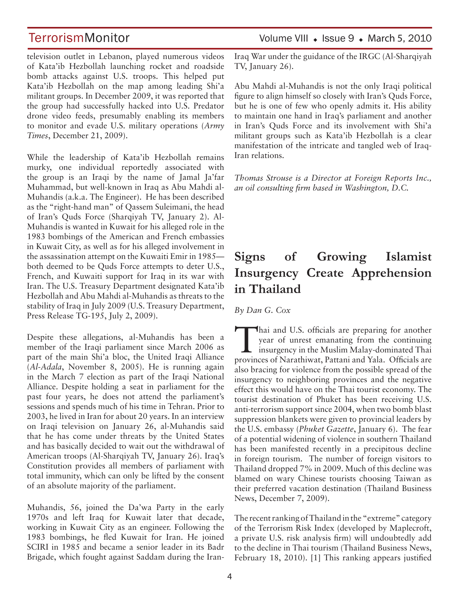television outlet in Lebanon, played numerous videos of Kata'ib Hezbollah launching rocket and roadside bomb attacks against U.S. troops. This helped put Kata'ib Hezbollah on the map among leading Shi'a militant groups. In December 2009, it was reported that the group had successfully hacked into U.S. Predator drone video feeds, presumably enabling its members to monitor and evade U.S. military operations (Army *Times*, December 21, 2009).

While the leadership of Kata'ib Hezbollah remains murky, one individual reportedly associated with the group is an Iraqi by the name of Jamal Ja'far Muhammad, but well-known in Iraq as Abu Mahdi al-Muhandis (a.k.a. The Engineer). He has been described as the "right-hand man" of Qassem Suleimani, the head of Iran's Quds Force (Sharqiyah TV, January 2). Al-Muhandis is wanted in Kuwait for his alleged role in the 1983 bombings of the American and French embassies in Kuwait City, as well as for his alleged involvement in the assassination attempt on the Kuwaiti Emir in 1985 both deemed to be Quds Force attempts to deter U.S., French, and Kuwaiti support for Iraq in its war with Iran. The U.S. Treasury Department designated Kata'ib Hezbollah and Abu Mahdi al-Muhandis as threats to the stability of Iraq in July 2009 (U.S. Treasury Department, Press Release TG-195, July 2, 2009).

Despite these allegations, al-Muhandis has been a member of the Iraqi parliament since March 2006 as part of the main Shi'a bloc, the United Iraqi Alliance (Al-Adala, November 8, 2005). He is running again in the March 7 election as part of the Iraqi National Alliance. Despite holding a seat in parliament for the past four years, he does not attend the parliament's sessions and spends much of his time in Tehran. Prior to 2003, he lived in Iran for about 20 years. In an interview on Iraqi television on January 26, al-Muhandis said that he has come under threats by the United States and has basically decided to wait out the withdrawal of American troops (Al-Sharqiyah TV, January 26). Iraq's Constitution provides all members of parliament with total immunity, which can only be lifted by the consent of an absolute majority of the parliament.

Muhandis, 56, joined the Da'wa Party in the early 1970s and left Iraq for Kuwait later that decade, working in Kuwait City as an engineer. Following the 1983 bombings, he fled Kuwait for Iran. He joined SCIRI in 1985 and became a senior leader in its Badr Brigade, which fought against Saddam during the Iran-

## TerrorismMonitor Volume VIII . Issue 9 . March 5, 2010

Iraq War under the guidance of the IRGC (Al-Sharqiyah TV, January 26).

Abu Mahdi al-Muhandis is not the only Iraqi political figure to align himself so closely with Iran's Quds Force, but he is one of few who openly admits it. His ability to maintain one hand in Iraq's parliament and another in Iran's Quds Force and its involvement with Shi'a militant groups such as Kata'ib Hezbollah is a clear manifestation of the intricate and tangled web of Iraq-Iran relations.

*Thomas Strouse is a Director at Foreign Reports Inc.,*  an oil consulting firm based in Washington, D.C.

## **Signs of Growing Islamist Insurgency Create Apprehension in Thailand**

 $By$  *Dan G. Cox* 

 $\blacktriangle$  hai and U.S. officials are preparing for another year of unrest emanating from the continuing  $\blacktriangle$  insurgency in the Muslim Malay-dominated Thai provinces of Narathiwat, Pattani and Yala. Officials are also bracing for violence from the possible spread of the insurgency to neighboring provinces and the negative effect this would have on the Thai tourist economy. The tourist destination of Phuket has been receiving U.S. anti-terrorism support since 2004, when two bomb blast suppression blankets were given to provincial leaders by the U.S. embassy (Phuket Gazette, January 6). The fear of a potential widening of violence in southern Thailand has been manifested recently in a precipitous decline in foreign tourism. The number of foreign visitors to Thailand dropped 7% in 2009. Much of this decline was blamed on wary Chinese tourists choosing Taiwan as their preferred vacation destination (Thailand Business News, December 7, 2009).

The recent ranking of Thailand in the "extreme" category of the Terrorism Risk Index (developed by Maplecroft, a private U.S. risk analysis firm) will undoubtedly add to the decline in Thai tourism (Thailand Business News, February 18, 2010). [1] This ranking appears justified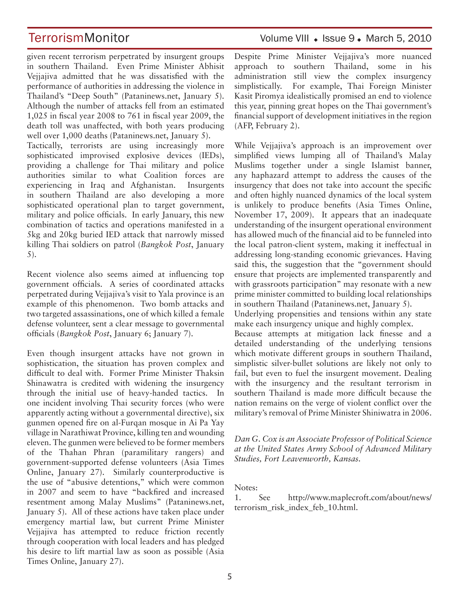given recent terrorism perpetrated by insurgent groups in southern Thailand. Even Prime Minister Abhisit Vejjajiva admitted that he was dissatisfied with the performance of authorities in addressing the violence in Thailand's "Deep South" (Pataninews.net, January 5). Although the number of attacks fell from an estimated  $1,025$  in fiscal year 2008 to 761 in fiscal year 2009, the death toll was unaffected, with both years producing well over 1,000 deaths (Pataninews.net, January 5). Tactically, terrorists are using increasingly more sophisticated improvised explosive devices (IEDs), providing a challenge for Thai military and police authorities similar to what Coalition forces are experiencing in Iraq and Afghanistan. Insurgents in southern Thailand are also developing a more sophisticated operational plan to target government, military and police officials. In early January, this new combination of tactics and operations manifested in a 5kg and 20kg buried IED attack that narrowly missed killing Thai soldiers on patrol (Bangkok Post, January)  $5$ ).

Recent violence also seems aimed at influencing top government officials. A series of coordinated attacks perpetrated during Vejjajiva's visit to Yala province is an example of this phenomenon. Two bomb attacks and two targeted assassinations, one of which killed a female defense volunteer, sent a clear message to governmental officials (Bangkok Post, January 6; January 7).

Even though insurgent attacks have not grown in sophistication, the situation has proven complex and difficult to deal with. Former Prime Minister Thaksin Shinawatra is credited with widening the insurgency through the initial use of heavy-handed tactics. In one incident involving Thai security forces (who were apparently acting without a governmental directive), six gunmen opened fire on al-Furgan mosque in Ai Pa Yay village in Narathiwat Province, killing ten and wounding eleven. The gunmen were believed to be former members of the Thahan Phran (paramilitary rangers) and government-supported defense volunteers (Asia Times Online, January 27). Similarly counterproductive is the use of "abusive detentions," which were common in 2007 and seem to have "backfired and increased resentment among Malay Muslims" (Pataninews.net, January 5). All of these actions have taken place under emergency martial law, but current Prime Minister Vejjajiva has attempted to reduce friction recently through cooperation with local leaders and has pledged his desire to lift martial law as soon as possible (Asia Times Online, January 27).

### TerrorismMonitor Volume VIII . Issue 9. March 5, 2010

Despite Prime Minister Vejjajiva's more nuanced approach to southern Thailand, some in his administration still view the complex insurgency simplistically. For example, Thai Foreign Minister Kasit Piromya idealistically promised an end to violence this year, pinning great hopes on the Thai government's  $\frac{1}{3}$  financial support of development initiatives in the region (AFP, February 2).

While Vejiajiva's approach is an improvement over simplified views lumping all of Thailand's Malay Muslims together under a single Islamist banner, any haphazard attempt to address the causes of the insurgency that does not take into account the specific and often highly nuanced dynamics of the local system is unlikely to produce benefits (Asia Times Online, November 17, 2009). It appears that an inadequate understanding of the insurgent operational environment has allowed much of the financial aid to be funneled into the local patron-client system, making it ineffectual in addressing long-standing economic grievances. Having said this, the suggestion that the "government should ensure that projects are implemented transparently and with grassroots participation" may resonate with a new prime minister committed to building local relationships in southern Thailand (Pataninews.net, January 5).

Underlying propensities and tensions within any state make each insurgency unique and highly complex.

Because attempts at mitigation lack finesse and a detailed understanding of the underlying tensions which motivate different groups in southern Thailand, simplistic silver-bullet solutions are likely not only to fail, but even to fuel the insurgent movement. Dealing with the insurgency and the resultant terrorism in southern Thailand is made more difficult because the nation remains on the verge of violent conflict over the military's removal of Prime Minister Shiniwatra in 2006.

*Dan G. Cox is an Associate Professor of Political Science* at the United States Army School of Advanced Military *Studies, Fort Leavenworth, Kansas.*

Notes:

1. See http://www.maplecroft.com/about/news/ terrorism\_risk\_index\_feb\_10.html.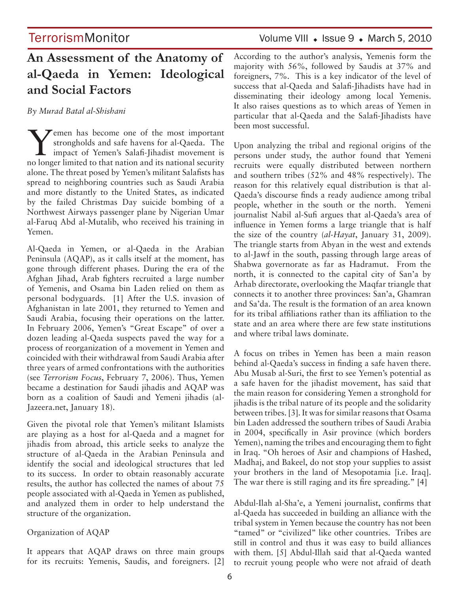### TerrorismMonitor Volume VIII . Issue 9 . March 5, 2010

## **An Assessment of the Anatomy of al-Qaeda in Yemen: Ideological and Social Factors**

*By Murad Batal alShishani* 

Yemen has become one of the most important<br>strongholds and safe havens for al-Qaeda. The<br>impact of Yemen's Salafi-Jihadist movement is strongholds and safe havens for al-Qaeda. The impact of Yemen's Salafi-Jihadist movement is no longer limited to that nation and its national security alone. The threat posed by Yemen's militant Salafists has spread to neighboring countries such as Saudi Arabia and more distantly to the United States, as indicated by the failed Christmas Day suicide bombing of a Northwest Airways passenger plane by Nigerian Umar al-Faruq Abd al-Mutalib, who received his training in Yemen.

Al-Qaeda in Yemen, or al-Qaeda in the Arabian Peninsula (AQAP), as it calls itself at the moment, has gone through different phases. During the era of the Afghan Jihad, Arab fighters recruited a large number of Yemenis, and Osama bin Laden relied on them as personal bodyguards. [1] After the U.S. invasion of Afghanistan in late 2001, they returned to Yemen and Saudi Arabia, focusing their operations on the latter. In February 2006, Yemen's "Great Escape" of over a dozen leading al-Qaeda suspects paved the way for a process of reorganization of a movement in Yemen and coincided with their withdrawal from Saudi Arabia after three years of armed confrontations with the authorities (see Terrorism Focus, February 7, 2006). Thus, Yemen became a destination for Saudi jihadis and AQAP was born as a coalition of Saudi and Yemeni jihadis (al-Jazeera.net, January 18).

Given the pivotal role that Yemen's militant Islamists are playing as a host for al-Qaeda and a magnet for jihadis from abroad, this article seeks to analyze the structure of al-Qaeda in the Arabian Peninsula and identify the social and ideological structures that led to its success. In order to obtain reasonably accurate results, the author has collected the names of about 75 people associated with al-Qaeda in Yemen as published, and analyzed them in order to help understand the structure of the organization.

#### Organization of AQAP

It appears that AQAP draws on three main groups for its recruits: Yemenis, Saudis, and foreigners. [2] According to the author's analysis, Yemenis form the majority with  $56\%$ , followed by Saudis at  $37\%$  and foreigners,  $7\%$ . This is a key indicator of the level of success that al-Qaeda and Salafi-Jihadists have had in disseminating their ideology among local Yemenis. It also raises questions as to which areas of Yemen in particular that al-Qaeda and the Salafi-Jihadists have been most successful.

Upon analyzing the tribal and regional origins of the persons under study, the author found that Yemeni recruits were equally distributed between northern and southern tribes  $(52\%$  and  $48\%$  respectively). The reason for this relatively equal distribution is that al-Qaeda's discourse finds a ready audience among tribal people, whether in the south or the north. Yemeni journalist Nabil al-Sufi argues that al-Qaeda's area of  $influence$  in Yemen forms a large triangle that is half the size of the country (al-Hayat, January 31, 2009). The triangle starts from Abyan in the west and extends to al-Jawf in the south, passing through large areas of Shabwa governorate as far as Hadramut. From the north, it is connected to the capital city of San'a by Arhab directorate, overlooking the Maqfar triangle that connects it to another three provinces: San'a, Ghamran and Sa'da. The result is the formation of an area known for its tribal affiliations rather than its affiliation to the state and an area where there are few state institutions and where tribal laws dominate.

A focus on tribes in Yemen has been a main reason behind al-Qaeda's success in finding a safe haven there. Abu Musab al-Suri, the first to see Yemen's potential as a safe haven for the jihadist movement, has said that the main reason for considering Yemen a stronghold for jihadis is the tribal nature of its people and the solidarity between tribes. [3]. It was for similar reasons that Osama bin Laden addressed the southern tribes of Saudi Arabia in 2004, specifically in Asir province (which borders Yemen), naming the tribes and encouraging them to fight in Iraq. "Oh heroes of Asir and champions of Hashed, Madhaj, and Bakeel, do not stop your supplies to assist your brothers in the land of Mesopotamia [i.e. Iraq]. The war there is still raging and its fire spreading."  $[4]$ 

Abdul-Ilah al-Sha'e, a Yemeni journalist, confirms that al-Qaeda has succeeded in building an alliance with the tribal system in Yemen because the country has not been "tamed" or "civilized" like other countries. Tribes are still in control and thus it was easy to build alliances with them. [5] Abdul-Illah said that al-Qaeda wanted to recruit young people who were not afraid of death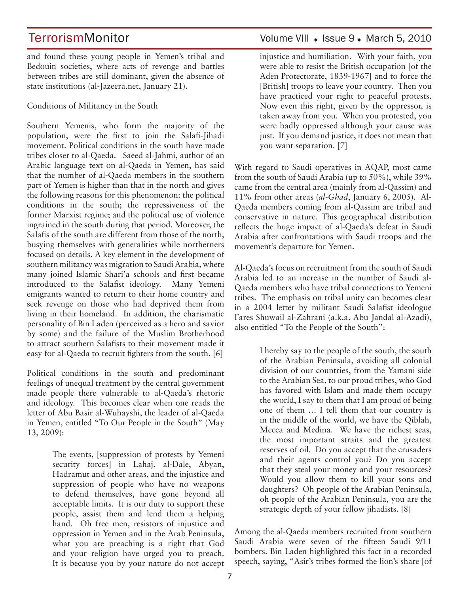and found these young people in Yemen's tribal and Bedouin societies, where acts of revenge and battles between tribes are still dominant, given the absence of state institutions (al-Jazeera.net, January 21).

Conditions of Militancy in the South

Southern Yemenis, who form the majority of the population, were the first to join the Salafi-Jihadi movement. Political conditions in the south have made tribes closer to al-Qaeda. Saeed al-Jahmi, author of an Arabic language text on al-Qaeda in Yemen, has said that the number of al-Qaeda members in the southern part of Yemen is higher than that in the north and gives the following reasons for this phenomenon: the political conditions in the south; the repressiveness of the former Marxist regime; and the political use of violence ingrained in the south during that period. Moreover, the Salafis of the south are different from those of the north, busying themselves with generalities while northerners focused on details. A key element in the development of southern militancy was migration to Saudi Arabia, where many joined Islamic Shari'a schools and first became introduced to the Salafist ideology. Many Yemeni emigrants wanted to return to their home country and seek revenge on those who had deprived them from living in their homeland. In addition, the charismatic personality of Bin Laden (perceived as a hero and savior by some) and the failure of the Muslim Brotherhood to attract southern Salafists to their movement made it easy for al-Qaeda to recruit fighters from the south. [6]

Political conditions in the south and predominant feelings of unequal treatment by the central government made people there vulnerable to al-Qaeda's rhetoric and ideology. This becomes clear when one reads the letter of Abu Basir al-Wuhayshi, the leader of al-Qaeda in Yemen, entitled "To Our People in the South" (May  $13, 2009$ :

> The events, [suppression of protests by Yemeni security forces] in Lahaj, al-Dale, Abyan, Hadramut and other areas, and the injustice and suppression of people who have no weapons to defend themselves, have gone beyond all acceptable limits. It is our duty to support these people, assist them and lend them a helping hand. Oh free men, resistors of injustice and oppression in Yemen and in the Arab Peninsula, what you are preaching is a right that God and your religion have urged you to preach. It is because you by your nature do not accept

### TerrorismMonitor Volume VIII . Issue 9. March 5, 2010

injustice and humiliation. With your faith, you were able to resist the British occupation [of the Aden Protectorate, 1839-1967] and to force the [British] troops to leave your country. Then you have practiced your right to peaceful protests. Now even this right, given by the oppressor, is taken away from you. When you protested, you were badly oppressed although your cause was just. If you demand justice, it does not mean that you want separation. [7]

With regard to Saudi operatives in AQAP, most came from the south of Saudi Arabia (up to  $50\%$ ), while  $39\%$ came from the central area (mainly from al-Qassim) and 11% from other areas (al-Ghad, January 6, 2005). Al-Qaeda members coming from al-Qassim are tribal and conservative in nature. This geographical distribution reflects the huge impact of al-Qaeda's defeat in Saudi Arabia after confrontations with Saudi troops and the movement's departure for Yemen.

Al-Qaeda's focus on recruitment from the south of Saudi Arabia led to an increase in the number of Saudi al-Qaeda members who have tribal connections to Yemeni tribes. The emphasis on tribal unity can becomes clear in a 2004 letter by militant Saudi Salafist ideologue Fares Shuwail al-Zahrani (a.k.a. Abu Jandal al-Azadi), also entitled "To the People of the South":

> I hereby say to the people of the south, the south of the Arabian Peninsula, avoiding all colonial division of our countries, from the Yamani side to the Arabian Sea, to our proud tribes, who God has favored with Islam and made them occupy the world, I say to them that I am proud of being one of them ... I tell them that our country is in the middle of the world, we have the Qiblah, Mecca and Medina. We have the richest seas, the most important straits and the greatest reserves of oil. Do you accept that the crusaders and their agents control you? Do you accept that they steal your money and your resources? Would you allow them to kill your sons and daughters? Oh people of the Arabian Peninsula, oh people of the Arabian Peninsula, you are the strategic depth of your fellow jihadists.  $[8]$

Among the al-Qaeda members recruited from southern Saudi Arabia were seven of the fifteen Saudi 9/11 bombers. Bin Laden highlighted this fact in a recorded speech, saying, "Asir's tribes formed the lion's share [of